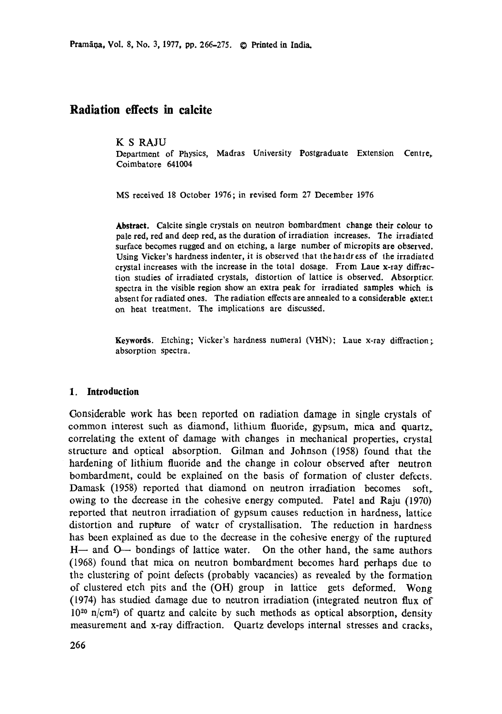# **Radiation effects in calcite**

#### K S RAJU

Department of Physics, Madras University Postgraduate Extension **Centre,**  Coimbatore 641004

MS received 18 October 1976; in revised form 27 December 1976

**Abstract.** Calcite single crystals on neutron bombardment change their colour **to**  pale red, red and deep red, as the duration of irradiation increases. "Ihe irradiated surface becomes rugged and on etching, a large number of micropits are observed. Using Vicker's hardness indenter, it is observed that the hardress of the irradiated crystal increases with the increase in the total dosage. From Laue x-ray diffraction studies of irradiated crystals, distortion of lattice is observed. Absorpticr. spectra in the visible region show an extra peak for irradiated samples which is absent for radiated ones. The radiation effects are annealed to a considerable extent on heat treatment. The implications are discussed.

**Keywords.** Etching; Vicker's hardness numeral (VHN); Laue x-ray diffraction; absorption spectra.

#### **1. Introduction**

Gonsiderable work has been reported on radiation damage in single crystals of common interest such as diamond, lithium fluoride, gypsum, mica and quartz, correlating the extent of damage with changes in mechanical properties, crystal structure and optical absorption. Gilman and Johnson (1958) found that the hardening of lithium fluoride and the change in colour observed after neutron bombardment, could be explained on the basis of formation of cluster defects. Damask (1958) reported that diamond on neutron irradiation becomes soft, owing to the decrease in the cohesive energy computed. Patel and Raju (1970) reported that neutron irradiation of gypsum causes reduction in hardness, lattice distortion and rupture of water of crystallisation. The reduction in hardness has been explained as due to the decrease in the cohesive energy of the ruptured H-- and O-- bondings of lattice water. On the other hand, the same authors (1958) found that mica on neutron bombardment becomes hard perhaps due to the clustering of point defects (probably vacancies) as revealed by the formation of clustered etch pits and the (OH) group in lattice gets deformed. Wong (1974) has studied damage due to neutron irradiation (integrated neutron flux of  $10^{20}$  n/cm<sup>2</sup>) of quartz and calcite by such methods as optical absorption, density measurement and x-ray diffraction. Quartz develops internal stresses and cracks,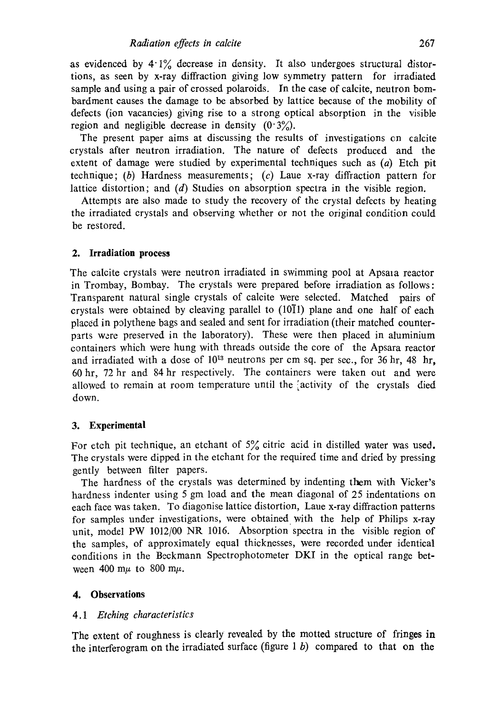as evidenced by  $4.1\%$  decrease in density. It also undergoes structural distortions, as seen by x-ray diffraction giving low symmetry pattern for irradiated sample and using a pair of crossed polaroids. In the case of calcite, neutron bombardment causes the damage to be absorbed by lattice because of the mobility of defects (ion vacancies) giving rise to a strong optical absorption in the visible region and negligible decrease in density  $(0.3\%)$ .

The present paper aims at discussing the results of investigations cn calcite crystals after neutron irradiation. The nature of defects produced and the extent of damage were studied by experimental techniques such as  $(a)$  Etch pit technique; (b) Hardness measurements; (c) Laue x-ray diffraction pattern for lattice distortion; and (d) Studies on absorption spectra in the visible region.

Attempts are also made to study the recovery of the crystal defects by heating the irradiated crystals and observing whether or not the original condition could be restored.

### **2. Irradiation process**

The calcite crystals were neutron irradiated in swimming pool at Apsaia reactor in Trombay, Bombay. The crystals were prepared before irradiation as follows: Transparent natural single crystals of calcite were selected. Matched pairs of crystals were obtained by cleaving parallel to  $(10\bar{1}1)$  plane and one half of each placed in polythene bags and sealed and sent for irradiation (their matched counterparts were preserved in the laboratory). These were then placed in aluminium containers which were hung with threads outside the core of the Apsara reactor and irradiated with a dose of  $10^{13}$  neutrons per cm sq. per sec., for 36 hr, 48 hr, 60 hr, 72 hr and 84 hr respectively. The containers were taken out and were allowed to remain at room temperature until the 'activity of the crystals died down.

#### **3. Experimental**

For etch pit technique, an etchant of  $5\%$  citric acid in distilled water was used. The crystals were dipped in the etchant for the required time and dried by pressing gently between filter papers.

The hardness of the crystals was determined by indenting them with Vicker's hardness indenter using 5 gm load and the mean diagonal of 25 indentations on each face was taken. To diagonise lattice distortion, Laue x-ray diffraction patterns for samples under investigations, were obtained with the help of Philips x-ray unit, model PW 1012/00 NR 1016. Absorption spectra in the visible region of the samples, of approximately equal thicknesses, were recorded under identical conditions in the Beckmann Spectrophotometer DKI in the optical range between 400 m $\mu$  to 800 m $\mu$ .

### **4. Observations**

### *4.1 Etching characteristics*

The extent of roughness is clearly revealed by the motted structure of fringes in the interferogram on the irradiated surface (figure  $1 b$ ) compared to that on the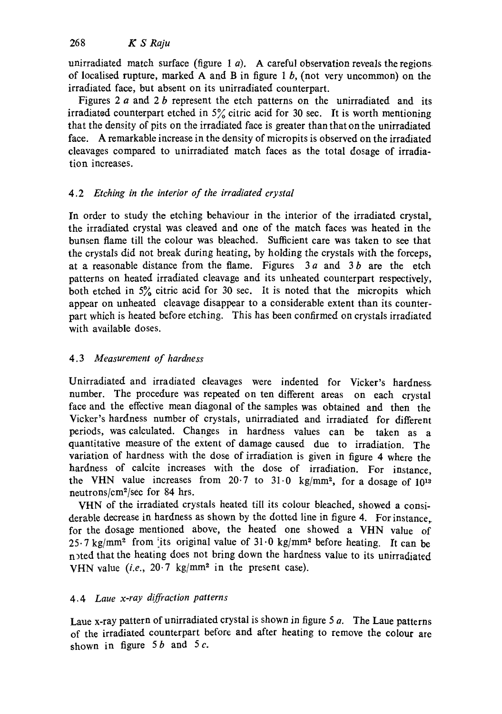unirradiated match surface (figure 1  $a$ ). A careful observation reveals the regions of localised rupture, marked A and B in figure 1  $b$ , (not very uncommon) on the irradiated face, but absent on its unirradiated counterpart.

Figures 2  $a$  and 2  $b$  represent the etch patterns on the unirradiated and its irradiated counterpart etched in  $5\%$  citric acid for 30 sec. It is worth mentioning that the density of pits on the irradiated face is greater than that on the unirradiated face. A remarkable increase in the density of mieropits is observed on the irradiated cleavages compared to unirradiated match faces as the total dosage of irradiation increases.

# 4.2 *Etching in the interior of the irradiated crystal*

In order to study the etching behaviour in the interior of the irradiated crystal, the irradiated crystal was cleaved and one of the match faces was heated in the bunsen flame till the colour was bleached. Sufficient care was taken to see that the crystals did not break during heating, by holding the crystals with the forceps, at a reasonable distance from the flame. Figures  $3a$  and  $3b$  are the etch patterns on heated irradiated cleavage and its unheated counterpart respectively, both etched in  $5\%$  citric acid for 30 sec. It is noted that the micropits which appear on unheated cleavage disappear to a considerable extent than its counterpart which is heated before etching. This has been confirmed on crystals irradiated with available doses.

# *4.3 Measurement of hardness*

Unirradiated and irradiated cleavages were indented for Vicker's hardness number. The procedure was repeated on ten different areas on each crystal face and the effective mean diagonal of the samples was obtained and then the Vicker's hardness number of crystals, unirradiated and irradiated for different periods, was calculated. Changes in hardness values can be taken as a quantitative measure of the extent of damage caused due to irradiation. The variation of hardness with the dose of irradiation is given in figure 4 where the hardness of calcite increases with the dose of irradiation. For instance, the VHN value increases from  $20.7$  to  $31.0$  kg/mm<sup>2</sup>, for a dosage of  $10^{13}$ neutrons/cm2/sec for 84 hrs.

VHN of the irradiated crystals heated till its colour bleached, showed a considerable decrease in hardness as shown by the dotted line in figure 4. For instance,. for the dosage mentioned above, the heated one showed a VHN value of  $25.7$  kg/mm<sup>2</sup> from its original value of  $31.0$  kg/mm<sup>2</sup> before heating. It can be n>ted that the heating does not bring down the hardness value to its unirradiated VHN value  $(i.e., 20.7 \text{ kg/mm}^2$  in the present case).

## *4.4 Laue x-ray diffraction patterns*

Laue x-ray pattern of unirradiated crystal is shown in figure  $5a$ . The Laue patterns of the irradiated counterpart before and after heating to remove the colour are shown in figure  $5b$  and  $5c$ .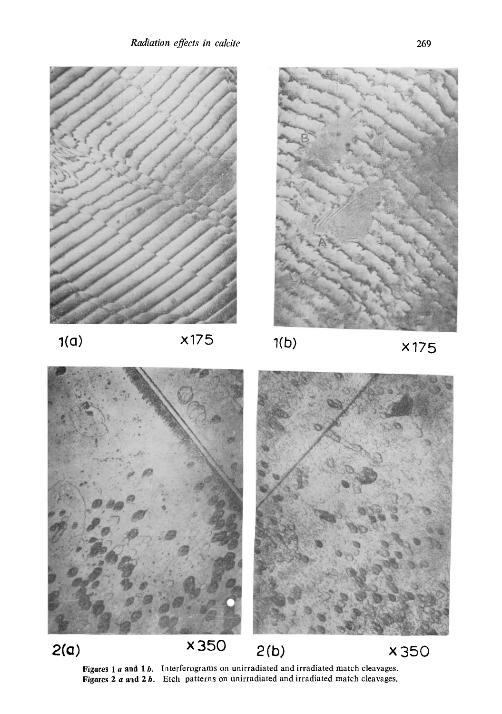

Figures 1  $a$  and 1 $b$ . Interferograms on unirradiated and irradiated match cleavages. Figures 2  $\alpha$  and 2 $\beta$ . Etch patterns on unirradiated and irradiated match cleavages.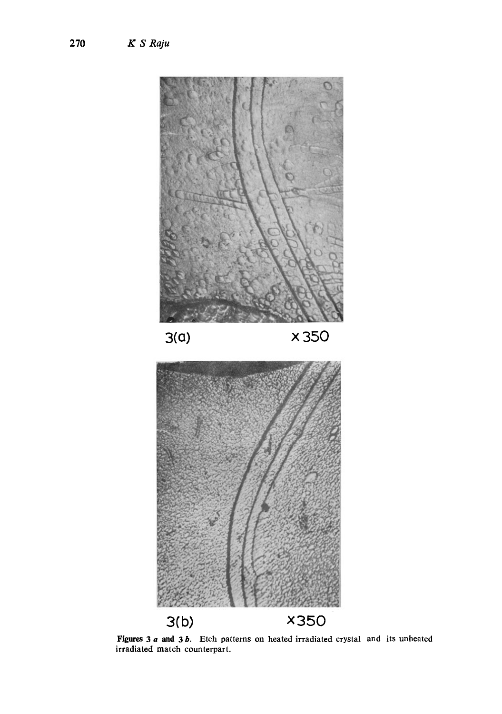

Figures 3 *a* and 3 *b*. Etch patterns on heated irradiated crystal and irradiated match counterpart. its unheated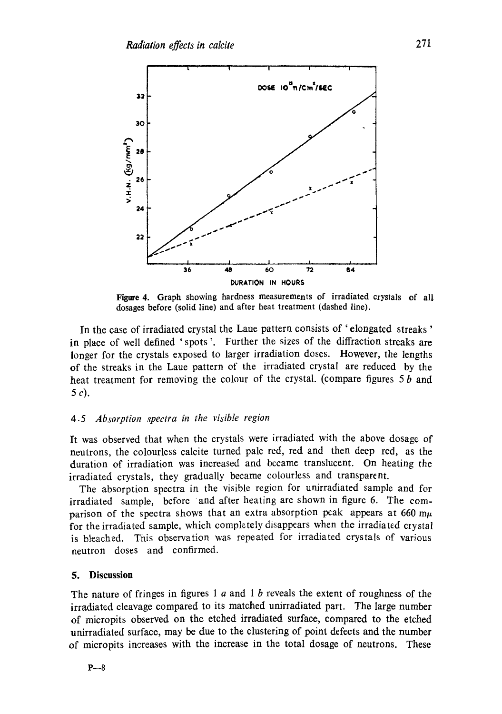

Figure 4. Graph showing hardness measurements of irradiated crystals of all dosages before (solid line) and after heat treatment (dashed line).

In the case of irradiated crystal the Laue pattern consists of ' elongated streaks ' in place of well defined 'spots '. Further the sizes of the diffraction streaks are longer for the crystals exposed to larger irradiation doses. However, the lengths of the streaks in the Laue pattern of the irradiated crystal are reduced by the heat treatment for removing the colour of the crystal. (compare figures  $5 b$  and 5 e).

#### 4.5 *Absorption spectra in the visible region*

It was observed that when the crystals were irradiated with the above dosage of neutrons, the colourless calcite turned pale red, red and then deep red, as the duration of irradiation was increased and became translucent. On heating the irradiated crystals, they gradually became colourless and transparent.

The absorption spectra in the visible region for unirradiated sample and for irradiated sample, before and after heating are shown in figure 6. The comparison of the spectra shows that an extra absorption peak appears at 660 m $\mu$ for the irradiated sample, which completely disappears when the irradiated crystal is bleached. This observation was repeated for irradiated crystals of various neutron doses and confirmed.

#### **5. Discussion**

The nature of fringes in figures 1  $a$  and 1  $b$  reveals the extent of roughness of the irradiated cleavage compared to its matched unirradiated part. The large number of micropits observed on the etched irradiated surface, compared to the etched unirradiated surface, may be due to the clustering of point defects and the number of mieropits increases with the increase in the total dosage of neutrons. These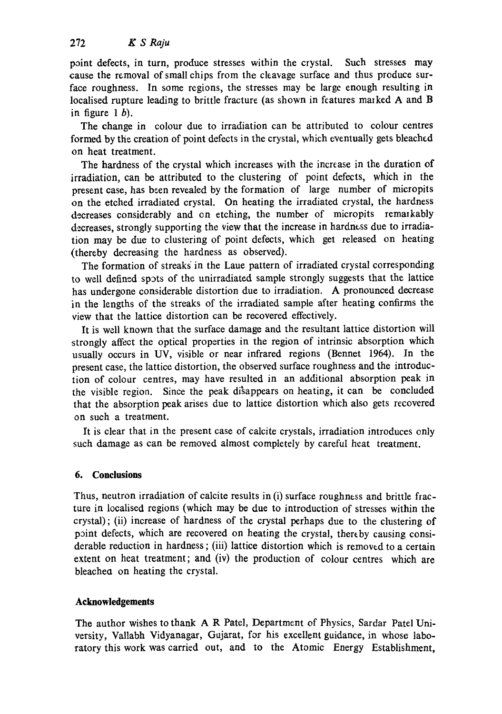point defects, in turn, produce stresses within the crystal. Such stresses may cause the removal of small chips from the cleavage surface and thus produce surface roughness. In some regions, the stresses may be large enough resulting in localised rupture leading to brittle fracture (as shown in features marked A and B in figure  $1 b$ ).

The change in colour due to irradiation can be attributed to colour centres formed by the creation of point defects in the crystal, which eventually gets bleached on heat treatment.

The hardness of the crystal which increases with the increase in the duration of irradiation, can be attributed to the clustering of point defects, which in the present case, has been revealed by the formation of large number of micropits on the etched irradiated crystal. On heating the irradiated crystal, the hardness decreases considerably and on etching, the number of micropits remarkably decreases, strongly supporting the view that the increase in hardness due to irradiation may be due to clustering of point defects, which get released on heating (thereby decreasing the hardness as observed).

The formation of streaks in the Laue pattern of irradiated crystal corresponding to well defined spats of the unirradiated sample strongly suggests that the lattice has undergone considerable distortion due to irradiation. A pronounced decrease in the lengths of the streaks of the irradiated sample after heating confirms the view that the lattice distortion can be recovered effectively.

It is well known that the surface damage and the resultant lattice distortion will strongly affect the optical properties in the region of intrinsic absorption which usually occurs in UV, visible or near infrared regions (Bennet 1964). In the present case, the lattice distortion, the observed surface roughness and the introduction of colour centres, may have resulted in an additional absorption peak in the visible region. Since the peak disappears on heating, it can be concluded that the absorption peak arises due to lattice distortion which also gets recovered on such a treatment.

It is clear that in the present case of calcite crystals, irradiation introduces only such damage as can be removed almost completely by careful heat treatment.

## **6. Conclusions**

Thus, neutron irradiation of calcite results in  $(i)$  surface roughness and brittle fracture in localised regions (which may be due to introduction of stresses within the crystal); (ii) increase of hardness of the crystal perhaps due to the clustering of point defects, which are recovered on heating the crystal, thereby causing considerable reduction in hardness; (iii) lattice distortion which is removed to a certain extent on heat treatment; and (iv) the production of colour centres which are bleachea on heating the crystal.

## **Acknowledgements**

The author wishes to thank A R Patel, Department of Physics, Sardar Patel University, Vallabh Vidyanagar, Gujarat, for his excellent guidance, in whose laboratory this work was carried out, and to the Atomic Energy Establishment,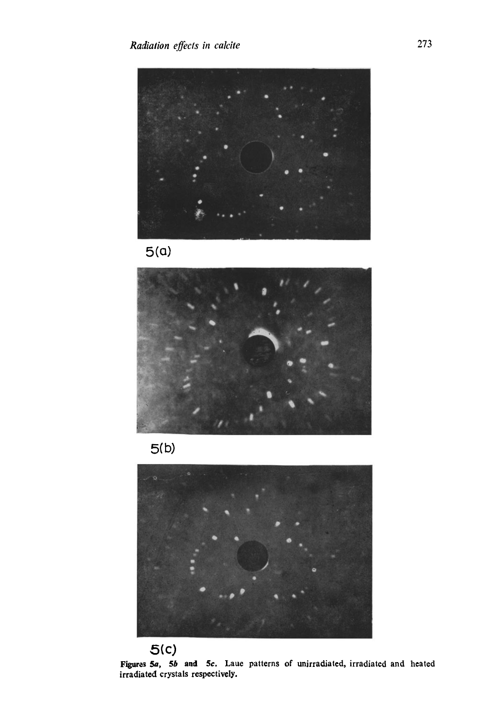











**Figures 5a, 5b aad 5c. Laue patterns of unirradiated, irradiated and heated irradiated crystals respectively.**